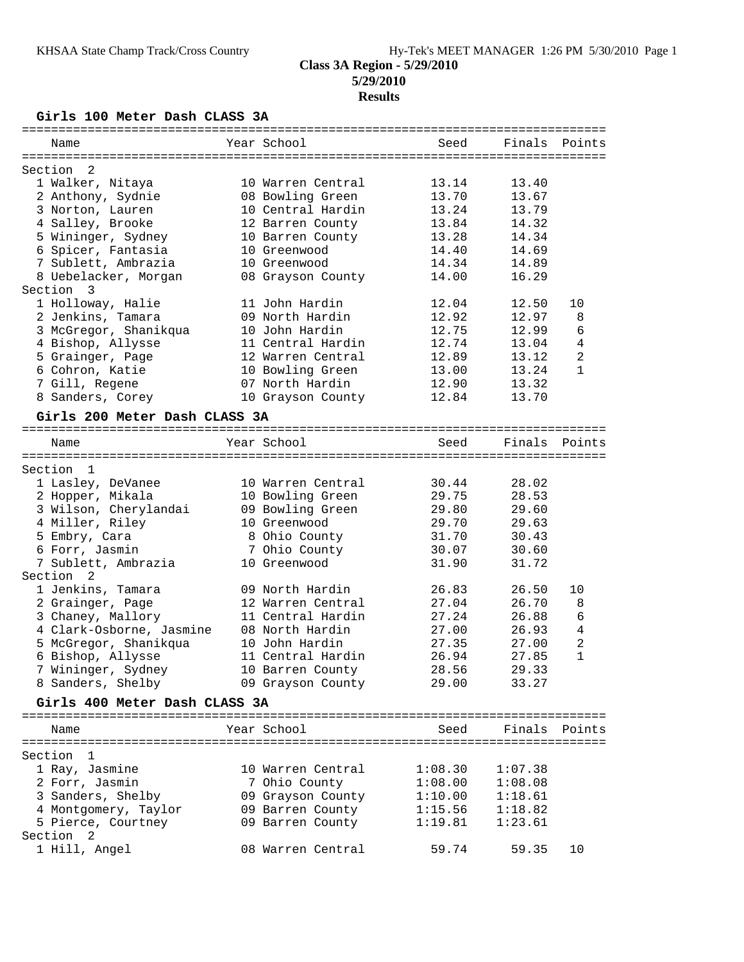## **Class 3A Region - 5/29/2010 5/29/2010 Results**

## **Girls 100 Meter Dash CLASS 3A**

| Name                          | Year School       | Seed    | Finals Points |                |
|-------------------------------|-------------------|---------|---------------|----------------|
|                               |                   |         |               |                |
| 2<br>Section                  |                   |         |               |                |
| 1 Walker, Nitaya              | 10 Warren Central | 13.14   | 13.40         |                |
| 2 Anthony, Sydnie             | 08 Bowling Green  | 13.70   | 13.67         |                |
| 3 Norton, Lauren              | 10 Central Hardin | 13.24   | 13.79         |                |
| 4 Salley, Brooke              | 12 Barren County  | 13.84   | 14.32         |                |
| 5 Wininger, Sydney            | 10 Barren County  | 13.28   | 14.34         |                |
| 6 Spicer, Fantasia            | 10 Greenwood      | 14.40   | 14.69         |                |
| 7 Sublett, Ambrazia           | 10 Greenwood      | 14.34   | 14.89         |                |
| 8 Uebelacker, Morgan          | 08 Grayson County | 14.00   | 16.29         |                |
| Section 3                     |                   |         |               |                |
| 1 Holloway, Halie             | 11 John Hardin    | 12.04   | 12.50         | 10             |
| 2 Jenkins, Tamara             | 09 North Hardin   | 12.92   | 12.97         | 8              |
| 3 McGregor, Shanikqua         | 10 John Hardin    | 12.75   | 12.99         | 6              |
| 4 Bishop, Allysse             | 11 Central Hardin | 12.74   | 13.04         | 4              |
| 5 Grainger, Page              | 12 Warren Central | 12.89   | 13.12         | $\overline{a}$ |
| 6 Cohron, Katie               | 10 Bowling Green  | 13.00   | 13.24         | $\mathbf{1}$   |
| 7 Gill, Regene                | 07 North Hardin   | 12.90   | 13.32         |                |
| 8 Sanders, Corey              | 10 Grayson County | 12.84   | 13.70         |                |
|                               |                   |         |               |                |
| Girls 200 Meter Dash CLASS 3A |                   |         |               |                |
| Name                          | Year School       | Seed    | Finals Points |                |
|                               |                   |         |               |                |
| Section<br>1                  |                   |         |               |                |
| 1 Lasley, DeVanee             | 10 Warren Central | 30.44   | 28.02         |                |
| 2 Hopper, Mikala              | 10 Bowling Green  | 29.75   | 28.53         |                |
| 3 Wilson, Cherylandai         | 09 Bowling Green  | 29.80   | 29.60         |                |
| 4 Miller, Riley               | 10 Greenwood      | 29.70   | 29.63         |                |
| 5 Embry, Cara                 | 8 Ohio County     | 31.70   | 30.43         |                |
| 6 Forr, Jasmin                | 7 Ohio County     | 30.07   | 30.60         |                |
| 7 Sublett, Ambrazia           | 10 Greenwood      | 31.90   | 31.72         |                |
| Section <sub>2</sub>          |                   |         |               |                |
| 1 Jenkins, Tamara             | 09 North Hardin   | 26.83   | 26.50         | 10             |
| 2 Grainger, Page              | 12 Warren Central | 27.04   | 26.70         | 8              |
|                               | 11 Central Hardin | 27.24   | 26.88         | 6              |
| 3 Chaney, Mallory             |                   | 27.00   | 26.93         |                |
| 4 Clark-Osborne, Jasmine      | 08 North Hardin   |         |               | 4              |
| 5 McGregor, Shanikqua         | 10 John Hardin    | 27.35   | 27.00         | 2              |
| 6 Bishop, Allysse             | 11 Central Hardin | 26.94   | 27.85         | 1              |
| 7 Wininger, Sydney            | 10 Barren County  | 28.56   | 29.33         |                |
| 8 Sanders, Shelby             | 09 Grayson County | 29.00   | 33.27         |                |
| Girls 400 Meter Dash CLASS 3A |                   |         |               |                |
| Name                          | Year School       | Seed    | Finals Points |                |
|                               |                   |         |               |                |
| Section<br>- 1                |                   |         |               |                |
| 1 Ray, Jasmine                | 10 Warren Central | 1:08.30 | 1:07.38       |                |
| 2 Forr, Jasmin                |                   | 1:08.00 |               |                |
|                               | 7 Ohio County     |         | 1:08.08       |                |
| 3 Sanders, Shelby             | 09 Grayson County | 1:10.00 | 1:18.61       |                |
| 4 Montgomery, Taylor          | 09 Barren County  | 1:15.56 | 1:18.82       |                |
| 5 Pierce, Courtney            | 09 Barren County  | 1:19.81 | 1:23.61       |                |
| Section <sub>2</sub>          |                   |         |               |                |
| 1 Hill, Angel                 | 08 Warren Central | 59.74   | 59.35         | 10             |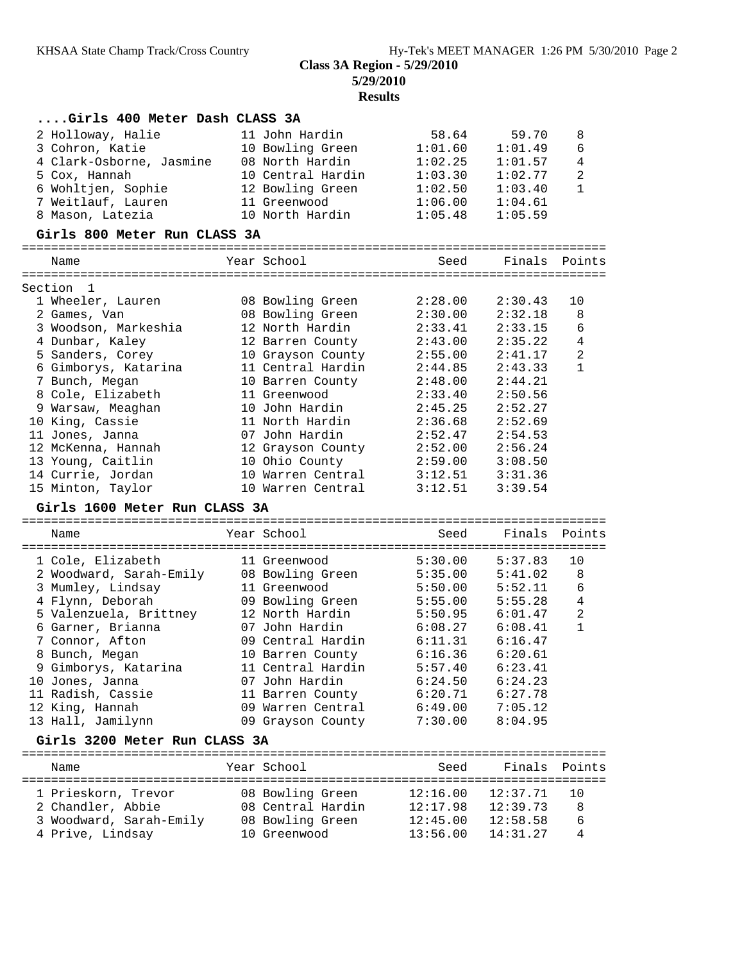**5/29/2010**

**Results**

| Girls 400 Meter Dash CLASS 3A               |                                  |                      |                      |                |
|---------------------------------------------|----------------------------------|----------------------|----------------------|----------------|
| 2 Holloway, Halie                           | 11 John Hardin                   | 58.64                | 59.70                | 8              |
| 3 Cohron, Katie                             | 10 Bowling Green                 | 1:01.60              | 1:01.49              | 6              |
| 4 Clark-Osborne, Jasmine                    | 08 North Hardin                  | 1:02.25              | 1:01.57              | $\overline{4}$ |
| 5 Cox, Hannah                               | 10 Central Hardin                | 1:03.30              | 1:02.77              | $\overline{a}$ |
| 6 Wohltjen, Sophie                          | 12 Bowling Green                 | 1:02.50              | 1:03.40              | $\mathbf{1}$   |
| 7 Weitlauf, Lauren                          | 11 Greenwood                     | 1:06.00              | 1:04.61              |                |
| 8 Mason, Latezia                            | 10 North Hardin                  | 1:05.48              | 1:05.59              |                |
|                                             |                                  |                      |                      |                |
| Girls 800 Meter Run CLASS 3A                |                                  |                      |                      |                |
| Name                                        | Year School                      | Seed                 | Finals Points        |                |
| Section<br>1                                |                                  |                      |                      |                |
| 1 Wheeler, Lauren                           | 08 Bowling Green                 | 2:28.00              | 2:30.43              | 10             |
| 2 Games, Van                                | 08 Bowling Green                 | 2:30.00              | 2:32.18              | 8              |
| 3 Woodson, Markeshia                        | 12 North Hardin                  | 2:33.41              | 2:33.15              | 6              |
| 4 Dunbar, Kaley                             | 12 Barren County                 | 2:43.00              | 2:35.22              | $\overline{4}$ |
| 5 Sanders, Corey                            | 10 Grayson County                | 2:55.00              | 2:41.17              | $\overline{c}$ |
| 6 Gimborys, Katarina                        | 11 Central Hardin                | 2:44.85              | 2:43.33              | $\mathbf{1}$   |
| 7 Bunch, Megan                              | 10 Barren County                 | 2:48.00              | 2:44.21              |                |
| 8 Cole, Elizabeth                           | 11 Greenwood                     | 2:33.40              | 2:50.56              |                |
| 9 Warsaw, Meaghan                           | 10 John Hardin                   | 2:45.25              | 2:52.27              |                |
| 10 King, Cassie                             | 11 North Hardin                  | 2:36.68              | 2:52.69              |                |
| 11 Jones, Janna                             | 07 John Hardin                   | 2:52.47              | 2:54.53              |                |
|                                             |                                  |                      |                      |                |
| 12 McKenna, Hannah                          | 12 Grayson County                | 2:52.00              | 2:56.24              |                |
| 13 Young, Caitlin                           | 10 Ohio County                   | 2:59.00              | 3:08.50              |                |
| 14 Currie, Jordan                           | 10 Warren Central                | 3:12.51              | 3:31.36              |                |
|                                             |                                  |                      |                      |                |
| 15 Minton, Taylor                           | 10 Warren Central                | 3:12.51              | 3:39.54              |                |
| Girls 1600 Meter Run CLASS 3A               |                                  |                      |                      |                |
| Name                                        | Year School                      | Seed                 | Finals               | Points         |
|                                             |                                  |                      |                      |                |
| 1 Cole, Elizabeth                           | 11 Greenwood                     | 5:30.00              | 5:37.83              | 10             |
| 2 Woodward, Sarah-Emily                     | 08 Bowling Green                 | 5:35.00              | 5:41.02              | 8              |
| 3 Mumley, Lindsay                           | 11 Greenwood                     | 5:50.00              | 5:52.11              | 6              |
| 4 Flynn, Deborah                            | 09 Bowling Green                 | 5:55.00              | 5:55.28              | 4              |
| 5 Valenzuela, Brittney                      | 12 North Hardin                  | 5:50.95              | 6:01.47              | 2              |
| 6 Garner, Brianna                           | 07 John Hardin                   | 6:08.27              | 6:08.41              | $\mathbf 1$    |
| 7 Connor, Afton                             | 09 Central Hardin                | 6:11.31              | 6:16.47              |                |
| 8 Bunch, Megan                              | 10 Barren County                 | 6:16.36              | 6:20.61              |                |
| 9 Gimborys, Katarina                        | 11 Central Hardin                | 5:57.40              | 6:23.41              |                |
| 10 Jones, Janna                             | 07 John Hardin                   | 6:24.50              | 6:24.23              |                |
| 11 Radish, Cassie                           | 11 Barren County                 | 6:20.71              | 6:27.78              |                |
| 12 King, Hannah                             | 09 Warren Central                | 6:49.00              | 7:05.12              |                |
| 13 Hall, Jamilynn                           | 09 Grayson County                | 7:30.00              | 8:04.95              |                |
| Girls 3200 Meter Run CLASS 3A               |                                  |                      |                      |                |
| Name                                        | Year School                      | Seed                 | Finals               | Points         |
|                                             |                                  |                      |                      |                |
| 1 Prieskorn, Trevor                         | 08 Bowling Green                 | 12:16.00             | 12:37.71             | 10             |
| 2 Chandler, Abbie                           | 08 Central Hardin                | 12:17.98             | 12:39.73             | 8              |
| 3 Woodward, Sarah-Emily<br>4 Prive, Lindsay | 08 Bowling Green<br>10 Greenwood | 12:45.00<br>13:56.00 | 12:58.58<br>14:31.27 | 6<br>4         |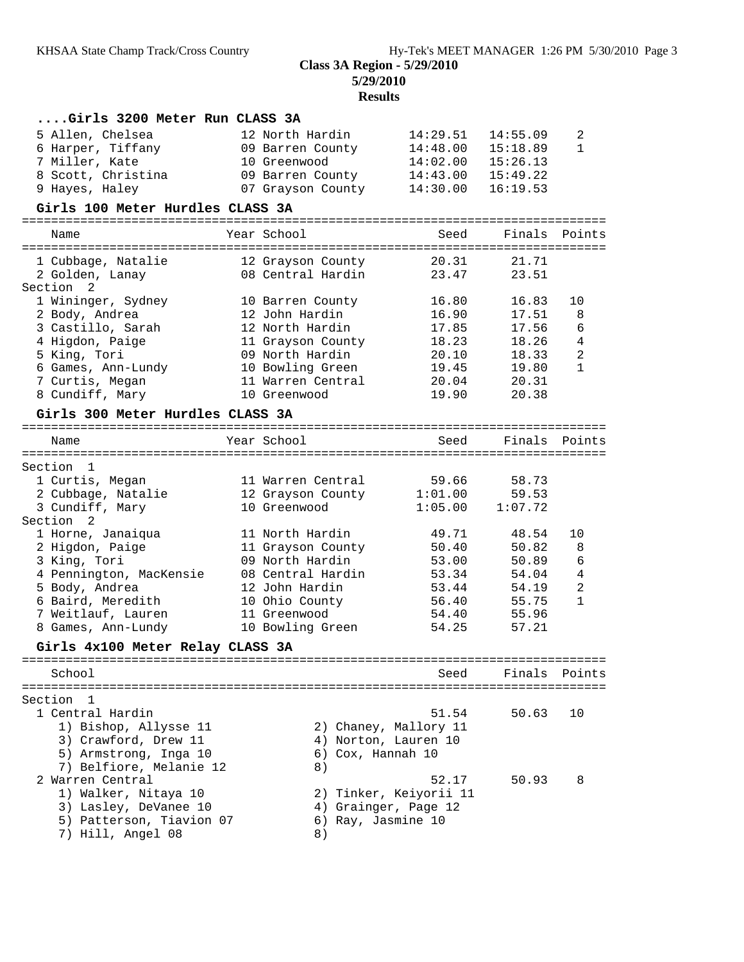**5/29/2010 Results**

| Girls 3200 Meter Run CLASS 3A                                                                                                                                                                                                                                                                                        |                                                                                                                                                                                                                                          |                                                                                                                                            |                                                                                                   |                                        |
|----------------------------------------------------------------------------------------------------------------------------------------------------------------------------------------------------------------------------------------------------------------------------------------------------------------------|------------------------------------------------------------------------------------------------------------------------------------------------------------------------------------------------------------------------------------------|--------------------------------------------------------------------------------------------------------------------------------------------|---------------------------------------------------------------------------------------------------|----------------------------------------|
| 5 Allen, Chelsea<br>6 Harper, Tiffany<br>7 Miller, Kate<br>8 Scott, Christina<br>9 Hayes, Haley                                                                                                                                                                                                                      | 12 North Hardin<br>09 Barren County<br>10 Greenwood<br>09 Barren County<br>07 Grayson County                                                                                                                                             | 14:29.51<br>14:48.00<br>14:02.00<br>14:43.00<br>14:30.00                                                                                   | 14:55.09<br>15:18.89<br>15:26.13<br>15:49.22<br>16:19.53                                          | 2<br>$\mathbf{1}$                      |
| Girls 100 Meter Hurdles CLASS 3A                                                                                                                                                                                                                                                                                     |                                                                                                                                                                                                                                          |                                                                                                                                            |                                                                                                   |                                        |
| Name                                                                                                                                                                                                                                                                                                                 | Year School                                                                                                                                                                                                                              | Seed                                                                                                                                       | Finals                                                                                            | Points                                 |
| 1 Cubbage, Natalie<br>2 Golden, Lanay<br>Section 2                                                                                                                                                                                                                                                                   | 12 Grayson County<br>08 Central Hardin                                                                                                                                                                                                   | 20.31<br>23.47                                                                                                                             | 21.71<br>23.51                                                                                    |                                        |
| 1 Wininger, Sydney<br>2 Body, Andrea<br>3 Castillo, Sarah<br>4 Higdon, Paige<br>5 King, Tori<br>6 Games, Ann-Lundy<br>7 Curtis, Megan<br>8 Cundiff, Mary                                                                                                                                                             | 10 Barren County<br>12 John Hardin<br>12 North Hardin<br>11 Grayson County<br>09 North Hardin<br>10 Bowling Green<br>11 Warren Central<br>10 Greenwood                                                                                   | 16.80<br>16.90<br>17.85<br>18.23<br>20.10<br>19.45<br>20.04<br>19.90                                                                       | 16.83<br>17.51<br>17.56<br>18.26<br>18.33<br>19.80<br>20.31<br>20.38                              | 10<br>8<br>6<br>4<br>2<br>$\mathbf{1}$ |
| Girls 300 Meter Hurdles CLASS 3A                                                                                                                                                                                                                                                                                     |                                                                                                                                                                                                                                          |                                                                                                                                            |                                                                                                   |                                        |
| Name                                                                                                                                                                                                                                                                                                                 | Year School                                                                                                                                                                                                                              | Seed                                                                                                                                       | Finals                                                                                            | Points                                 |
| Section 1<br>1 Curtis, Megan<br>2 Cubbage, Natalie<br>3 Cundiff, Mary<br>Section<br>2<br>1 Horne, Janaiqua<br>2 Higdon, Paige<br>3 King, Tori<br>4 Pennington, MacKensie<br>5 Body, Andrea<br>6 Baird, Meredith<br>7 Weitlauf, Lauren<br>8 Games, Ann-Lundy<br>Girls 4x100 Meter Relay CLASS 3A<br>================= | 11 Warren Central<br>12 Grayson County<br>10 Greenwood<br>11 North Hardin<br>11 Grayson County<br>09 North Hardin<br>08 Central Hardin<br>12 John Hardin<br>10 Ohio County<br>11 Greenwood<br>10 Bowling Green<br>====================== | 59.66<br>1:01.00<br>1:05.00<br>49.71<br>50.40<br>53.00<br>53.34<br>53.44<br>56.40<br>54.40<br>54.25<br>=================================== | 58.73<br>59.53<br>1:07.72<br>48.54<br>50.82<br>50.89<br>54.04<br>54.19<br>55.75<br>55.96<br>57.21 | 10<br>8<br>6<br>4<br>2<br>$\mathbf{1}$ |
| School                                                                                                                                                                                                                                                                                                               |                                                                                                                                                                                                                                          | Seed                                                                                                                                       | Finals                                                                                            | Points                                 |
| Section<br>- 1<br>1 Central Hardin<br>1) Bishop, Allysse 11<br>3) Crawford, Drew 11<br>5) Armstrong, Inga 10<br>7) Belfiore, Melanie 12                                                                                                                                                                              | 6) Cox, Hannah 10<br>8)                                                                                                                                                                                                                  | 51.54<br>2) Chaney, Mallory 11<br>4) Norton, Lauren 10                                                                                     | 50.63                                                                                             | 10                                     |
| 2 Warren Central<br>1) Walker, Nitaya 10<br>3) Lasley, DeVanee 10<br>5) Patterson, Tiavion 07<br>7) Hill, Angel 08                                                                                                                                                                                                   | 6) Ray, Jasmine 10<br>8)                                                                                                                                                                                                                 | 52.17<br>2) Tinker, Keiyorii 11<br>4) Grainger, Page 12                                                                                    | 50.93                                                                                             | 8                                      |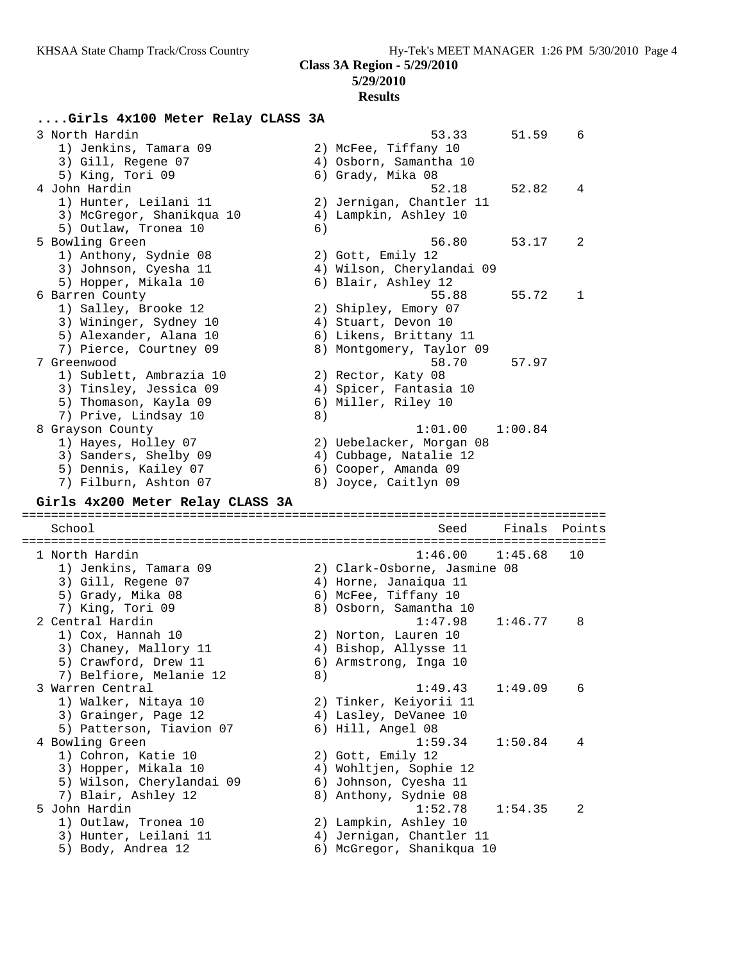## **5/29/2010**

#### **Results**

## **....Girls 4x100 Meter Relay CLASS 3A**

 3 North Hardin 53.33 51.59 6 1) Jenkins, Tamara 09 2) McFee, Tiffany 10 3) Gill, Regene 07 4) Osborn, Samantha 10 5) King, Tori 09 6) Grady, Mika 08 4 John Hardin 52.18 52.82 4 1) Hunter, Leilani 11 2) Jernigan, Chantler 11 3) McGregor, Shanikqua 10 4) Lampkin, Ashley 10 5) Outlaw, Tronea 10 6) 5 Bowling Green 56.80 53.17 2 1) Anthony, Sydnie 08 2) Gott, Emily 12 3) Johnson, Cyesha 11 4) Wilson, Cherylandai 09 5) Hopper, Mikala 10 6) Blair, Ashley 12 6 Barren County 55.88 55.72 1 1) Salley, Brooke 12 2) Shipley, Emory 07 3) Wininger, Sydney 10  $\hspace{1cm}$  4) Stuart, Devon 10 5) Alexander, Alana 10 6) Likens, Brittany 11 7) Pierce, Courtney 09 8) Montgomery, Taylor 09 7 Greenwood 58.70 57.97 1) Sublett, Ambrazia 10 2) Rector, Katy 08 3) Tinsley, Jessica 09 4) Spicer, Fantasia 10 5) Thomason, Kayla 09 6) Miller, Riley 10 7) Prive, Lindsay 10 8) 8 Grayson County 1:01.00 1:00.84 1) Hayes, Holley 07 2) Uebelacker, Morgan 08 3) Sanders, Shelby 09  $\hskip 1.5 cm 4$  ) Cubbage, Natalie 12 5) Dennis, Kailey 07 (6) Cooper, Amanda 09 7) Filburn, Ashton 07 8) Joyce, Caitlyn 09 **Girls 4x200 Meter Relay CLASS 3A** ================================================================================ School Seed Finals Points ================================================================================ 1 North Hardin 1:46.00 1:45.68 10 1) Jenkins, Tamara 09 2) Clark-Osborne, Jasmine 08 3) Gill, Regene 07 4) Horne, Janaiqua 11 5) Grady, Mika 08 6) McFee, Tiffany 10 7) King, Tori 09 8) Osborn, Samantha 10 2 Central Hardin 1:47.98 1:46.77 8 1) Cox, Hannah 10 2) Norton, Lauren 10 3) Chaney, Mallory 11 4) Bishop, Allysse 11 5) Crawford, Drew 11 6) Armstrong, Inga 10 7) Belfiore, Melanie 12 (8) 3 Warren Central 1:49.43 1:49.09 6 1) Walker, Nitaya 10 2) Tinker, Keiyorii 11 3) Grainger, Page 12 4) Lasley, DeVanee 10 5) Patterson, Tiavion 07 (6) Hill, Angel 08 4 Bowling Green 1:59.34 1:50.84 4 1) Cohron, Katie 10 2) Gott, Emily 12 3) Hopper, Mikala 10 4) Wohltjen, Sophie 12 5) Wilson, Cherylandai 09 6) Johnson, Cyesha 11 7) Blair, Ashley 12 8) Anthony, Sydnie 08 5 John Hardin 1:52.78 1:54.35 2

 1) Outlaw, Tronea 10 2) Lampkin, Ashley 10 3) Hunter, Leilani 11 4) Jernigan, Chantler 11 5) Body, Andrea 12 6) McGregor, Shanikqua 10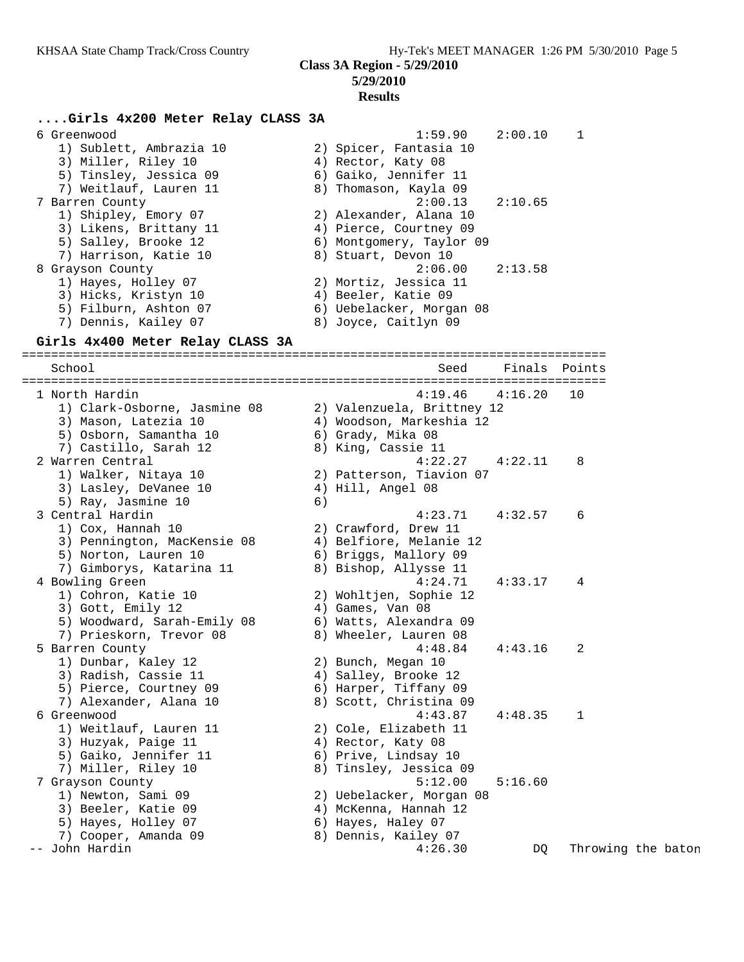# **5/29/2010**

# **Results**

### **....Girls 4x200 Meter Relay CLASS 3A**

| 6 Greenwood             | 1:59.90 2:00.10          | 1 |
|-------------------------|--------------------------|---|
| 1) Sublett, Ambrazia 10 | 2) Spicer, Fantasia 10   |   |
| 3) Miller, Riley 10     | 4) Rector, Katy 08       |   |
| 5) Tinsley, Jessica 09  | 6) Gaiko, Jennifer 11    |   |
| 7) Weitlauf, Lauren 11  | 8) Thomason, Kayla 09    |   |
| 7 Barren County         | $2:00.13$ $2:10.65$      |   |
| 1) Shipley, Emory 07    | 2) Alexander, Alana 10   |   |
| 3) Likens, Brittany 11  | 4) Pierce, Courtney 09   |   |
| 5) Salley, Brooke 12    | 6) Montgomery, Taylor 09 |   |
| 7) Harrison, Katie 10   | 8) Stuart, Devon 10      |   |
| 8 Grayson County        | $2:06.00$ $2:13.58$      |   |
| 1) Hayes, Holley 07     | 2) Mortiz, Jessica 11    |   |
| 3) Hicks, Kristyn 10    | 4) Beeler, Katie 09      |   |
| 5) Filburn, Ashton 07   | 6) Uebelacker, Morgan 08 |   |
| 7) Dennis, Kailey 07    | 8) Joyce, Caitlyn 09     |   |

#### **Girls 4x400 Meter Relay CLASS 3A**

================================================================================ School Seed Finals Points ================================================================================ 1 North Hardin 4:19.46 4:16.20 10 1) Clark-Osborne, Jasmine 08 2) Valenzuela, Brittney 12 3) Mason, Latezia 10 4) Woodson, Markeshia 12 5) Osborn, Samantha 10  $\qquad \qquad$  6) Grady, Mika 08 7) Castillo, Sarah 12  $\hskip10mm$  8) King, Cassie 11 2 Warren Central 4:22.27 4:22.11 8 1) Walker, Nitaya 10 2) Patterson, Tiavion 07 3) Lasley, DeVanee 10  $\hskip 1.6cm 4$  4) Hill, Angel 08 5) Ray, Jasmine 10 (6) 3 Central Hardin 4:23.71 4:32.57 6 1) Cox, Hannah 10 2) Crawford, Drew 11 3) Pennington, MacKensie 08 4) Belfiore, Melanie 12 5) Norton, Lauren 10 6) Briggs, Mallory 09 7) Gimborys, Katarina 11 8) Bishop, Allysse 11 4 Bowling Green 4:24.71 4:33.17 4 1) Cohron, Katie 10 2) Wohltjen, Sophie 12 3) Gott, Emily 12 (4) Games, Van 08 5) Woodward, Sarah-Emily 08 6) Watts, Alexandra 09 7) Prieskorn, Trevor 08 8) Wheeler, Lauren 08 5 Barren County 4:48.84 4:43.16 2 1) Dunbar, Kaley 12 2) Bunch, Megan 10 3) Radish, Cassie 11  $\hskip1cm$  4) Salley, Brooke 12 5) Pierce, Courtney 09 6) Harper, Tiffany 09 7) Alexander, Alana 10 8) Scott, Christina 09 6 Greenwood 4:43.87 4:48.35 1 1) Weitlauf, Lauren 11 2) Cole, Elizabeth 11 3) Huzyak, Paige 11 (4) Rector, Katy 08 5) Gaiko, Jennifer 11  $\qquad \qquad$  6) Prive, Lindsay 10 7) Miller, Riley 10 8) Tinsley, Jessica 09 7 Grayson County 5:12.00 5:16.60 1) Newton, Sami 09 2) Uebelacker, Morgan 08 3) Beeler, Katie 09 4) McKenna, Hannah 12 5) Hayes, Holley 07 (6) Hayes, Haley 07 7) Cooper, Amanda 09 8) Dennis, Kailey 07 -- John Hardin 2008, 2008, 2008, 2009, 2012, 2013, 2009, 2014, 2013, 2009, 2014, 2013, 2009, 2014, 2013, 2009, 2014, 2014, 2014, 2015, 2009, 2016, 2017, 2018, 2019, 2019, 2019, 2019, 2019, 2019, 2019, 2019, 2019, 2019, 201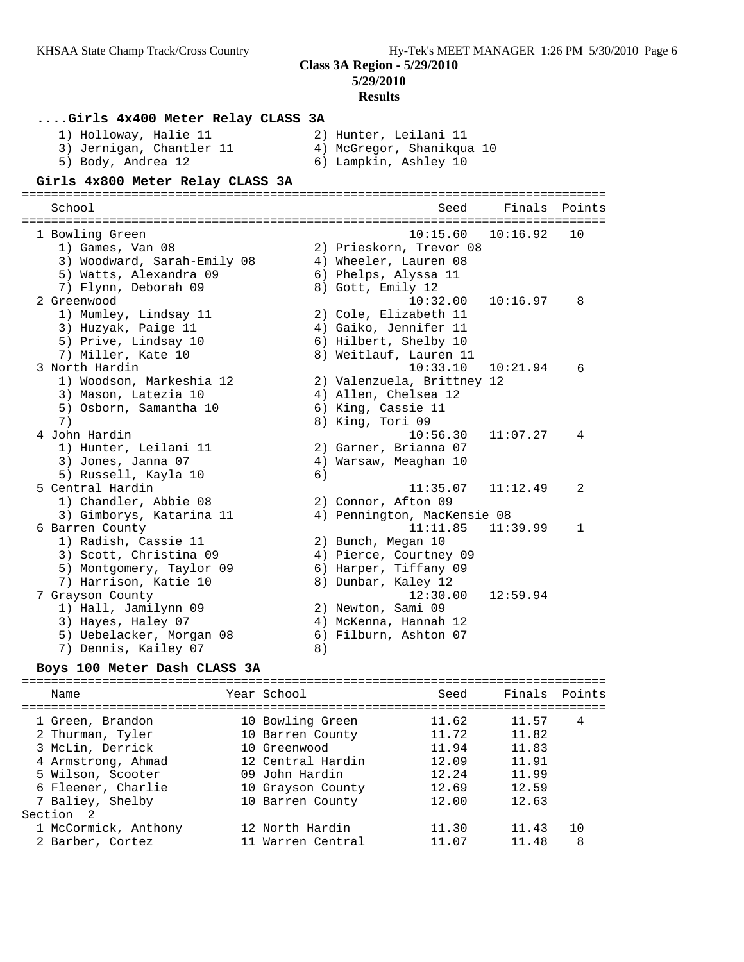**5/29/2010**

#### **Results**

### **....Girls 4x400 Meter Relay CLASS 3A**

| 1) Holloway, Halie 11    | 2) Hunter, Leilani 11     |
|--------------------------|---------------------------|
| 3) Jernigan, Chantler 11 | 4) McGregor, Shanikqua 10 |
| 5) Body, Andrea 12       | 6) Lampkin, Ashley 10     |
|                          |                           |

#### **Girls 4x800 Meter Relay CLASS 3A** ================================================================================

 School Seed Finals Points ================================================================================ 1 Bowling Green 10:15.60 10:16.92 10 1) Games, Van 08 2) Prieskorn, Trevor 08 3) Woodward, Sarah-Emily 08 4) Wheeler, Lauren 08 5) Watts, Alexandra 09 6) Phelps, Alyssa 11 7) Flynn, Deborah 09 8) Gott, Emily 12 2 Greenwood 10:32.00 10:16.97 8 1) Mumley, Lindsay 11 2) Cole, Elizabeth 11 3) Huzyak, Paige 11 4) Gaiko, Jennifer 11 5) Prive, Lindsay 10 6) Hilbert, Shelby 10 7) Miller, Kate 10 8) Weitlauf, Lauren 11 3 North Hardin 10:33.10 10:21.94 6 1) Woodson, Markeshia 12 2) Valenzuela, Brittney 12 3) Mason, Latezia 10  $\hskip1cm$  4) Allen, Chelsea 12 5) Osborn, Samantha 10  $\qquad \qquad$  6) King, Cassie 11 7) 8) King, Tori 09 4 John Hardin 10:56.30 11:07.27 4 1) Hunter, Leilani 11 2) Garner, Brianna 07 3) Jones, Janna 07 4) Warsaw, Meaghan 10 5) Russell, Kayla 10 (6) 5 Central Hardin 11:35.07 11:12.49 2 1) Chandler, Abbie 08 2) Connor, Afton 09 3) Gimborys, Katarina 11 4) Pennington, MacKensie 08 6 Barren County 11:11.85 11:39.99 1 1) Radish, Cassie 11 2) Bunch, Megan 10 3) Scott, Christina 09 4) Pierce, Courtney 09 5) Montgomery, Taylor 09 6) Harper, Tiffany 09 7) Harrison, Katie 10 8) Dunbar, Kaley 12 7 Grayson County 12:30.00 12:59.94 1) Hall, Jamilynn 09 2) Newton, Sami 09 3) Hayes, Haley 07 4) McKenna, Hannah 12 5) Uebelacker, Morgan 08 6) Filburn, Ashton 07 7) Dennis, Kailey 07 (8)

#### **Boys 100 Meter Dash CLASS 3A**

================================================================================ Name Year School Seed Finals Points ================================================================================ 1 Green, Brandon 10 Bowling Green 11.62 11.57 4 2 Thurman, Tyler 10 Barren County 11.72 11.82 3 McLin, Derrick 10 Greenwood 11.94 11.83 4 Armstrong, Ahmad 12 Central Hardin 12.09 11.91 5 Wilson, Scooter 09 John Hardin 12.24 11.99 6 Fleener, Charlie 10 Grayson County 12.69 12.59 7 Baliey, Shelby 10 Barren County 12.00 12.63 Section 2 1 McCormick, Anthony 12 North Hardin 11.30 11.43 10 2 Barber, Cortez 11 Warren Central 11.07 11.48 8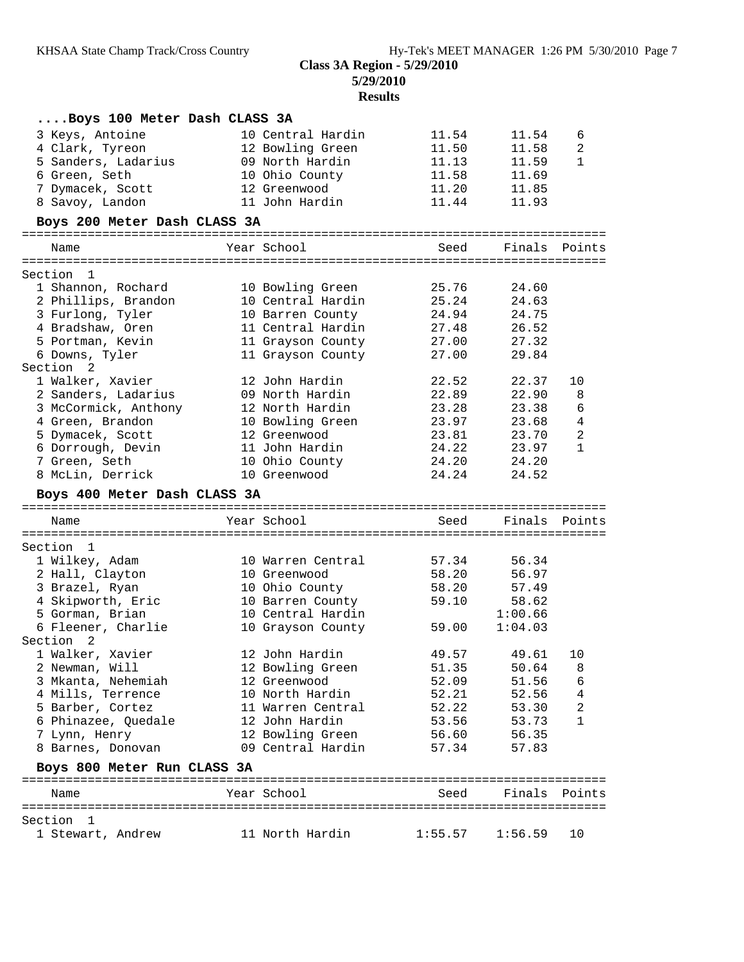**Results**

| Boys 100 Meter Dash CLASS 3A |                   |         |               |                |
|------------------------------|-------------------|---------|---------------|----------------|
| 3 Keys, Antoine              | 10 Central Hardin | 11.54   | 11.54         | 6              |
| 4 Clark, Tyreon              | 12 Bowling Green  | 11.50   | 11.58         | 2              |
| 5 Sanders, Ladarius          | 09 North Hardin   | 11.13   | 11.59         | 1              |
| 6 Green, Seth                | 10 Ohio County    | 11.58   | 11.69         |                |
| 7 Dymacek, Scott             | 12 Greenwood      | 11.20   | 11.85         |                |
| 8 Savoy, Landon              | 11 John Hardin    | 11.44   | 11.93         |                |
| Boys 200 Meter Dash CLASS 3A |                   |         |               |                |
|                              |                   |         |               |                |
| Name                         | Year School       | Seed    | Finals Points |                |
| Section 1                    |                   |         |               |                |
| 1 Shannon, Rochard           | 10 Bowling Green  | 25.76   | 24.60         |                |
| 2 Phillips, Brandon          | 10 Central Hardin | 25.24   | 24.63         |                |
| 3 Furlong, Tyler             | 10 Barren County  | 24.94   | 24.75         |                |
| 4 Bradshaw, Oren             | 11 Central Hardin | 27.48   | 26.52         |                |
| 5 Portman, Kevin             | 11 Grayson County | 27.00   | 27.32         |                |
| 6 Downs, Tyler               | 11 Grayson County | 27.00   | 29.84         |                |
| Section 2                    |                   |         |               |                |
| 1 Walker, Xavier             | 12 John Hardin    | 22.52   | 22.37         | 10             |
| 2 Sanders, Ladarius          | 09 North Hardin   | 22.89   | 22.90         | 8              |
|                              | 12 North Hardin   |         |               |                |
| 3 McCormick, Anthony         |                   | 23.28   | 23.38         | 6              |
| 4 Green, Brandon             | 10 Bowling Green  | 23.97   | 23.68         | 4              |
| 5 Dymacek, Scott             | 12 Greenwood      | 23.81   | 23.70         | $\overline{2}$ |
| 6 Dorrough, Devin            | 11 John Hardin    | 24.22   | 23.97         | $\mathbf{1}$   |
| 7 Green, Seth                | 10 Ohio County    | 24.20   | 24.20         |                |
| 8 McLin, Derrick             | 10 Greenwood      | 24.24   | 24.52         |                |
| Boys 400 Meter Dash CLASS 3A |                   |         |               |                |
| Name                         | Year School       | Seed    | Finals Points |                |
|                              |                   |         |               |                |
| Section 1                    |                   |         |               |                |
| 1 Wilkey, Adam               | 10 Warren Central | 57.34   | 56.34         |                |
| 2 Hall, Clayton              | 10 Greenwood      | 58.20   | 56.97         |                |
| 3 Brazel, Ryan               | 10 Ohio County    | 58.20   | 57.49         |                |
| 4 Skipworth, Eric            | 10 Barren County  | 59.10   | 58.62         |                |
| 5 Gorman, Brian              | 10 Central Hardin |         | 1:00.66       |                |
| 6 Fleener, Charlie           | 10 Grayson County | 59.00   | 1:04.03       |                |
| Section 2                    |                   |         |               |                |
| 1 Walker, Xavier             | 12 John Hardin    | 49.57   | 49.61         | 10             |
| 2 Newman, Will               | 12 Bowling Green  | 51.35   | 50.64         | 8              |
| 3 Mkanta, Nehemiah           | 12 Greenwood      | 52.09   | 51.56         | 6              |
| 4 Mills, Terrence            | 10 North Hardin   | 52.21   | 52.56         | 4              |
| 5 Barber, Cortez             | 11 Warren Central | 52.22   | 53.30         | 2              |
| 6 Phinazee, Quedale          | 12 John Hardin    | 53.56   | 53.73         | 1              |
| 7 Lynn, Henry                | 12 Bowling Green  | 56.60   | 56.35         |                |
| 8 Barnes, Donovan            | 09 Central Hardin | 57.34   | 57.83         |                |
| Boys 800 Meter Run CLASS 3A  |                   |         |               |                |
|                              |                   |         |               |                |
| Name                         | Year School       | Seed    | Finals        | Points         |
| Section 1                    |                   |         |               |                |
| 1 Stewart, Andrew            | 11 North Hardin   | 1:55.57 | 1:56.59       | 10             |
|                              |                   |         |               |                |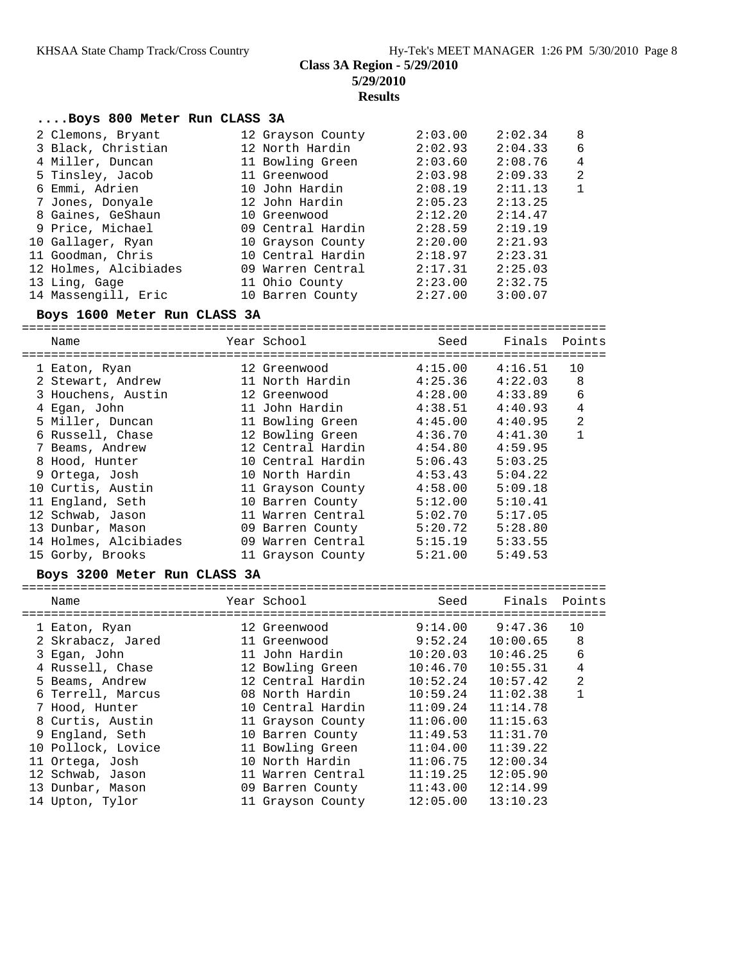**Results**

## **....Boys 800 Meter Run CLASS 3A**

| 2 Clemons, Bryant     | 12 Grayson County | 2:03.00 | 2:02.34 | -8             |
|-----------------------|-------------------|---------|---------|----------------|
| 3 Black, Christian    | 12 North Hardin   | 2:02.93 | 2:04.33 | 6              |
| 4 Miller, Duncan      | 11 Bowling Green  | 2:03.60 | 2:08.76 | $\overline{4}$ |
| 5 Tinsley, Jacob      | 11 Greenwood      | 2:03.98 | 2:09.33 | $\overline{2}$ |
| 6 Emmi, Adrien        | 10 John Hardin    | 2:08.19 | 2:11.13 | $\mathbf{1}$   |
| 7 Jones, Donyale      | 12 John Hardin    | 2:05.23 | 2:13.25 |                |
| 8 Gaines, GeShaun     | 10 Greenwood      | 2:12.20 | 2:14.47 |                |
| 9 Price, Michael      | 09 Central Hardin | 2:28.59 | 2:19.19 |                |
| 10 Gallager, Ryan     | 10 Grayson County | 2:20.00 | 2:21.93 |                |
| 11 Goodman, Chris     | 10 Central Hardin | 2:18.97 | 2:23.31 |                |
| 12 Holmes, Alcibiades | 09 Warren Central | 2:17.31 | 2:25.03 |                |
| 13 Ling, Gage         | 11 Ohio County    | 2:23.00 | 2:32.75 |                |
| 14 Massengill, Eric   | 10 Barren County  | 2:27.00 | 3:00.07 |                |

## **Boys 1600 Meter Run CLASS 3A**

================================================================================

| Name<br>======================== | Year School<br>============================ | Seed    | Finals  | Points         |
|----------------------------------|---------------------------------------------|---------|---------|----------------|
| 1 Eaton, Ryan                    | 12 Greenwood                                | 4:15.00 | 4:16.51 | 10             |
| 2 Stewart, Andrew                | 11 North Hardin                             | 4:25.36 | 4:22.03 | 8              |
| 3 Houchens, Austin               | 12 Greenwood                                | 4:28.00 | 4:33.89 | 6              |
| 4 Egan, John                     | 11 John Hardin                              | 4:38.51 | 4:40.93 | $\overline{4}$ |
| 5 Miller, Duncan                 | 11 Bowling Green                            | 4:45.00 | 4:40.95 | $\overline{2}$ |
| 6 Russell, Chase                 | 12 Bowling Green                            | 4:36.70 | 4:41.30 |                |
| 7 Beams, Andrew                  | 12 Central Hardin                           | 4:54.80 | 4:59.95 |                |
| 8 Hood, Hunter                   | 10 Central Hardin                           | 5:06.43 | 5:03.25 |                |
| 9 Ortega, Josh                   | 10 North Hardin                             | 4:53.43 | 5:04.22 |                |
| 10 Curtis, Austin                | 11 Grayson County                           | 4:58.00 | 5:09.18 |                |
| 11 England, Seth                 | 10 Barren County                            | 5:12.00 | 5:10.41 |                |
| 12 Schwab, Jason                 | 11 Warren Central                           | 5:02.70 | 5:17.05 |                |
| 13 Dunbar, Mason                 | 09 Barren County                            | 5:20.72 | 5:28.80 |                |
| 14 Holmes, Alcibiades            | 09 Warren Central                           | 5:15.19 | 5:33.55 |                |
| 15 Gorby, Brooks                 | 11 Grayson County                           | 5:21.00 | 5:49.53 |                |

# **Boys 3200 Meter Run CLASS 3A**

| Name               | Year School       | Seed     | Finals   | Points         |
|--------------------|-------------------|----------|----------|----------------|
| 1 Eaton, Ryan      | 12 Greenwood      | 9:14.00  | 9:47.36  | 10             |
| 2 Skrabacz, Jared  | 11 Greenwood      | 9:52.24  | 10:00.65 | 8              |
| 3 Egan, John       | 11 John Hardin    | 10:20.03 | 10:46.25 | 6              |
| 4 Russell, Chase   | 12 Bowling Green  | 10:46.70 | 10:55.31 | 4              |
| 5 Beams, Andrew    | 12 Central Hardin | 10:52.24 | 10:57.42 | $\overline{2}$ |
| 6 Terrell, Marcus  | 08 North Hardin   | 10:59.24 | 11:02.38 |                |
| 7 Hood, Hunter     | 10 Central Hardin | 11:09.24 | 11:14.78 |                |
| 8 Curtis, Austin   | 11 Grayson County | 11:06.00 | 11:15.63 |                |
| 9 England, Seth    | 10 Barren County  | 11:49.53 | 11:31.70 |                |
| 10 Pollock, Lovice | 11 Bowling Green  | 11:04.00 | 11:39.22 |                |
| 11 Ortega, Josh    | 10 North Hardin   | 11:06.75 | 12:00.34 |                |
| 12 Schwab, Jason   | 11 Warren Central | 11:19.25 | 12:05.90 |                |
| 13 Dunbar, Mason   | 09 Barren County  | 11:43.00 | 12:14.99 |                |
| 14 Upton, Tylor    | 11 Grayson County | 12:05.00 | 13:10.23 |                |
|                    |                   |          |          |                |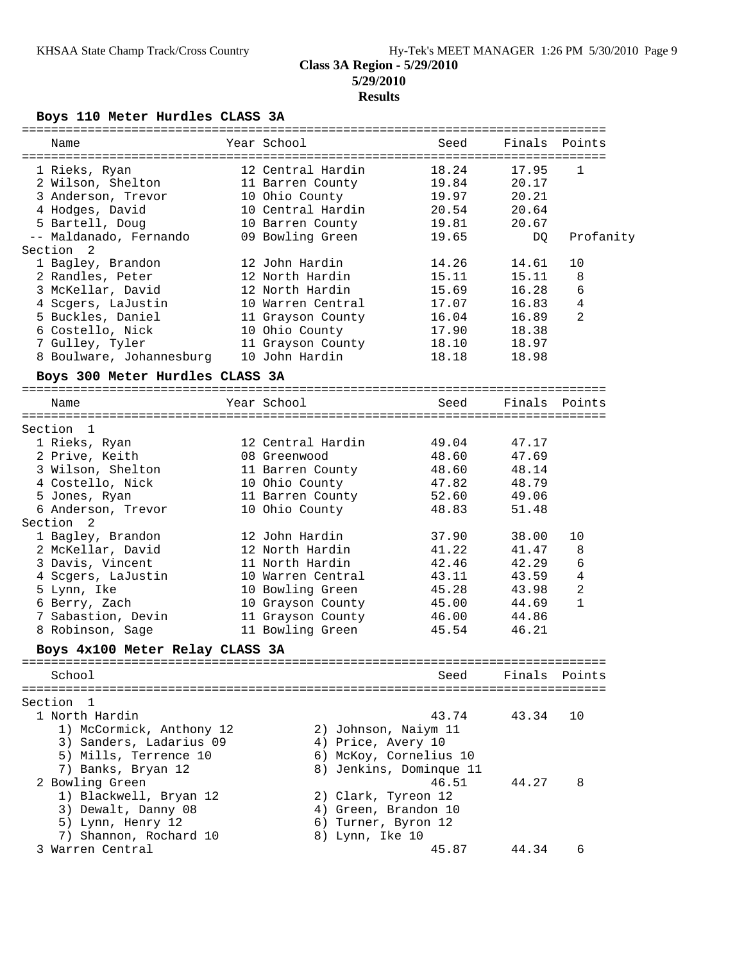# **Results**

# **Boys 110 Meter Hurdles CLASS 3A**

| Name                                    | Year School             | Seed                            | Finals Points |                     |
|-----------------------------------------|-------------------------|---------------------------------|---------------|---------------------|
|                                         | 12 Central Hardin       | 18.24                           | 17.95         | 1                   |
| 1 Rieks, Ryan                           |                         |                                 | 20.17         |                     |
| 2 Wilson, Shelton 11 Barren County      |                         | 19.84                           | 20.21         |                     |
| 3 Anderson, Trevor<br>4 Hodges, David   | 10 Ohio County          | 19.97                           | 20.64         |                     |
|                                         | 10 Central Hardin       | 20.54                           |               |                     |
| 5 Bartell, Doug                         | 10 Barren County        | 19.81                           | 20.67         |                     |
| -- Maldanado, Fernando 69 Bowling Green |                         | 19.65                           | DQ            | Profanity           |
| Section<br>2                            |                         |                                 |               |                     |
| 1 Bagley, Brandon                       | 12 John Hardin          | 14.26                           | 14.61         | 10                  |
| 2 Randles, Peter                        | 12 North Hardin         | 15.11                           | 15.11         | 8                   |
| 3 McKellar, David                       | 12 North Hardin         | 15.69                           | 16.28         | 6                   |
| 4 Scgers, LaJustin                      | 10 Warren Central       | 17.07                           | 16.83         | 4                   |
| 5 Buckles, Daniel                       | 11 Grayson County       | 16.04                           | 16.89         | 2                   |
| 6 Costello, Nick 10 Ohio County         |                         | 17.90                           | 18.38         |                     |
| 7 Gulley, Tyler                         | 11 Grayson County       | 18.10                           | 18.97         |                     |
| 8 Boulware, Johannesburg 10 John Hardin |                         | 18.18                           | 18.98         |                     |
| Boys 300 Meter Hurdles CLASS 3A         |                         |                                 |               |                     |
| Name                                    | Year School             | Seed                            | Finals        | Points              |
|                                         |                         |                                 |               |                     |
| Section 1                               |                         |                                 |               |                     |
| 1 Rieks, Ryan                           | 12 Central Hardin       | 49.04                           | 47.17         |                     |
| 2 Prive, Keith                          | 08 Greenwood            | 48.60                           | 47.69         |                     |
| 3 Wilson, Shelton 11 Barren County      |                         | 48.60                           | 48.14         |                     |
| 4 Costello, Nick 10 Ohio County         |                         | 47.82                           | 48.79         |                     |
| 5 Jones, Ryan                           | 11 Barren County        | 52.60                           | 49.06         |                     |
| 6 Anderson, Trevor                      | 10 Ohio County          | 48.83                           | 51.48         |                     |
| Section<br>2                            |                         |                                 |               |                     |
| 1 Bagley, Brandon                       | 12 John Hardin          | 37.90                           | 38.00         | 10                  |
|                                         | 12 North Hardin         | 41.22                           | 41.47         |                     |
| 2 McKellar, David                       |                         |                                 |               | 8                   |
| 3 Davis, Vincent                        | 11 North Hardin         | 42.46                           | 42.29         | 6<br>$\overline{4}$ |
| 4 Scgers, LaJustin                      | 10 Warren Central       | 43.11                           | 43.59         |                     |
| 5 Lynn, Ike                             | 10 Bowling Green        | 45.28                           | 43.98         | 2                   |
| 6 Berry, Zach                           | 10 Grayson County       | 45.00                           | 44.69         | $\mathbf{1}$        |
| 7 Sabastion, Devin                      | 11 Grayson County       | 46.00                           | 44.86         |                     |
| 8 Robinson, Sage                        | 11 Bowling Green        | 45.54                           | 46.21         |                     |
| Boys 4x100 Meter Relay CLASS 3A         |                         |                                 |               |                     |
|                                         |                         |                                 |               |                     |
| School                                  |                         | Seed                            | Finals        | Points              |
|                                         |                         | =============================== |               |                     |
| Section<br>1                            |                         |                                 |               |                     |
| 1 North Hardin                          |                         | 43.74                           | 43.34         | 10                  |
| 1) McCormick, Anthony 12                | 2) Johnson, Naiym 11    |                                 |               |                     |
| 3) Sanders, Ladarius 09                 | 4) Price, Avery 10      |                                 |               |                     |
| 5) Mills, Terrence 10                   | 6) McKoy, Cornelius 10  |                                 |               |                     |
| 7) Banks, Bryan 12                      | 8) Jenkins, Dominque 11 |                                 |               |                     |
| 2 Bowling Green                         |                         | 46.51                           | 44.27         | 8                   |
| 1) Blackwell, Bryan 12                  | 2) Clark, Tyreon 12     |                                 |               |                     |
| 3) Dewalt, Danny 08                     | 4) Green, Brandon 10    |                                 |               |                     |
| 5) Lynn, Henry 12                       | 6) Turner, Byron 12     |                                 |               |                     |
| 7) Shannon, Rochard 10                  | 8) Lynn, Ike 10         |                                 |               |                     |
| 3 Warren Central                        |                         | 45.87                           | 44.34         | 6                   |
|                                         |                         |                                 |               |                     |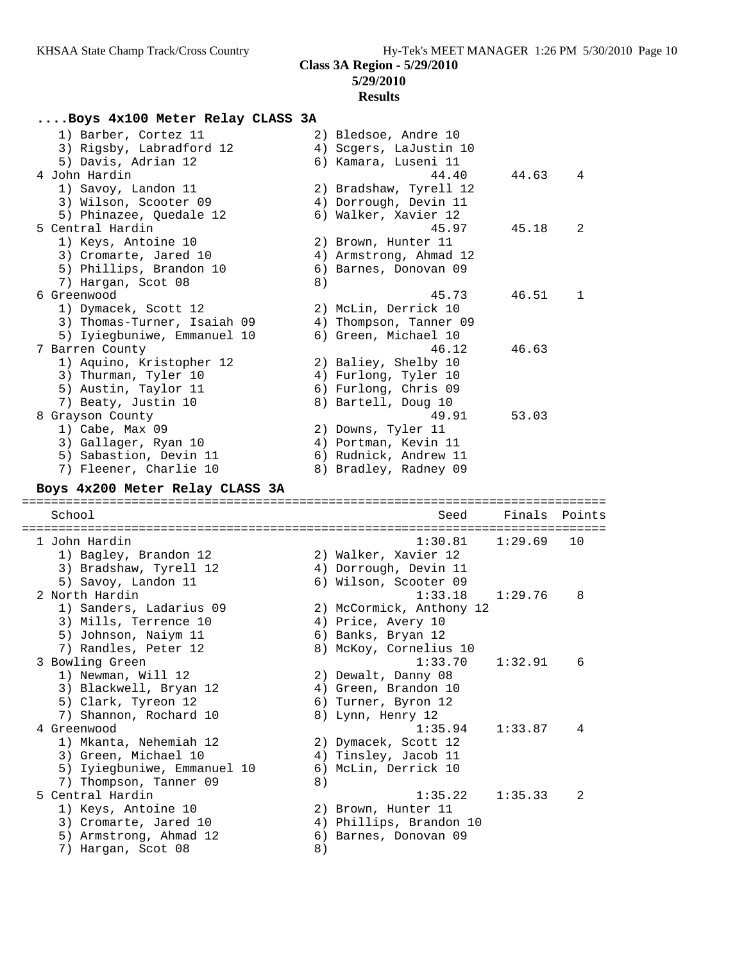#### **Results**

#### **....Boys 4x100 Meter Relay CLASS 3A**

| 1) Barber, Cortez 11                    | 2) Bledsoe, Andre 10   |       |              |
|-----------------------------------------|------------------------|-------|--------------|
| 3) Rigsby, Labradford 12                | 4) Scgers, LaJustin 10 |       |              |
| 5) Davis, Adrian 12                     | 6) Kamara, Luseni 11   |       |              |
| 4 John Hardin                           | 44.40                  | 44.63 | 4            |
| 1) Savoy, Landon 11                     | 2) Bradshaw, Tyrell 12 |       |              |
| 3) Wilson, Scooter 09                   | 4) Dorrough, Devin 11  |       |              |
| 5) Phinazee, Quedale 12                 | 6) Walker, Xavier 12   |       |              |
| 5 Central Hardin                        | 45.97                  | 45.18 | 2            |
| 1) Keys, Antoine 10                     | 2) Brown, Hunter 11    |       |              |
| 3) Cromarte, Jared 10                   | 4) Armstrong, Ahmad 12 |       |              |
| 5) Phillips, Brandon 10                 | 6) Barnes, Donovan 09  |       |              |
| 7) Hargan, Scot 08                      | 8)                     |       |              |
| 6 Greenwood                             | 45.73                  | 46.51 | $\mathbf{1}$ |
| 1) Dymacek, Scott 12                    | 2) McLin, Derrick 10   |       |              |
| 3) Thomas-Turner, Isaiah 09             | 4) Thompson, Tanner 09 |       |              |
| 5) Iyiegbuniwe, Emmanuel 10             | 6) Green, Michael 10   |       |              |
| 7 Barren County                         | 46.12                  | 46.63 |              |
| 1) Aquino, Kristopher 12                | 2) Baliey, Shelby 10   |       |              |
| 3) Thurman, Tyler 10                    | 4) Furlong, Tyler 10   |       |              |
| 5) Austin, Taylor 11                    | 6) Furlong, Chris 09   |       |              |
| 7) Beaty, Justin 10                     | 8) Bartell, Doug 10    |       |              |
| 8 Grayson County                        | 49.91                  | 53.03 |              |
| $1)$ Cabe, Max 09                       | 2) Downs, Tyler 11     |       |              |
| 3) Gallager, Ryan 10                    | 4) Portman, Kevin 11   |       |              |
| 5) Sabastion, Devin 11                  | 6) Rudnick, Andrew 11  |       |              |
| 7) Fleener, Charlie 10                  | 8) Bradley, Radney 09  |       |              |
| <b>Desse A--000 Webset Delgis Stadd</b> |                        |       |              |

#### **Boys 4x200 Meter Relay CLASS 3A**

================================================================================ School Seed Finals Points ================================================================================ 1 John Hardin 1:30.81 1:29.69 10 1) Bagley, Brandon 12 2) Walker, Xavier 12 3) Bradshaw, Tyrell 12 4) Dorrough, Devin 11 5) Savoy, Landon 11 6) Wilson, Scooter 09 2 North Hardin 1:33.18 1:29.76 8 1) Sanders, Ladarius 09 2) McCormick, Anthony 12 3) Mills, Terrence 10 (4) Price, Avery 10 5) Johnson, Naiym 11 6) Banks, Bryan 12 7) Randles, Peter 12 8) McKoy, Cornelius 10 3 Bowling Green 1:33.70 1:32.91 6 1) Newman, Will 12 2) Dewalt, Danny 08 3) Blackwell, Bryan 12 4) Green, Brandon 10 5) Clark, Tyreon 12 (6) Turner, Byron 12 7) Shannon, Rochard 10 8) Lynn, Henry 12 4 Greenwood 1:35.94 1:33.87 4 1) Mkanta, Nehemiah 12 2) Dymacek, Scott 12 3) Green, Michael 10  $\hphantom{\text{2.65}$  4) Tinsley, Jacob 11 5) Iyiegbuniwe, Emmanuel 10 6) McLin, Derrick 10 7) Thompson, Tanner 09 8) 5 Central Hardin 1:35.22 1:35.33 2 1) Keys, Antoine 10 2) Brown, Hunter 11 3) Cromarte, Jared 10 4) Phillips, Brandon 10 5) Armstrong, Ahmad 12 6) Barnes, Donovan 09 7) Hargan, Scot 08 8)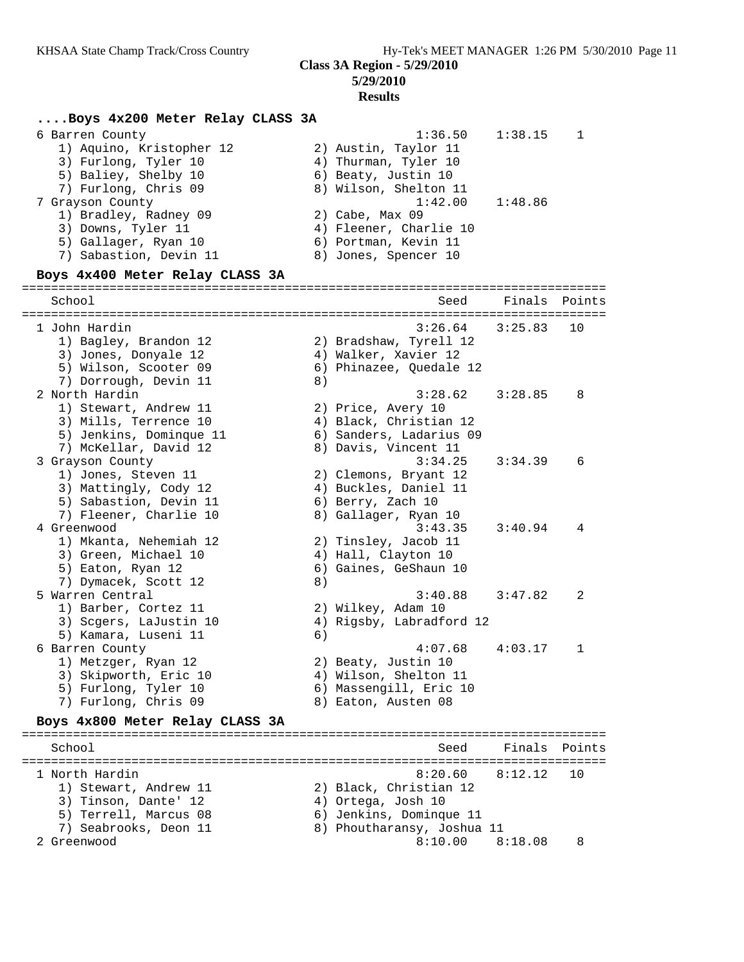#### **5/29/2010 Results**

#### **....Boys 4x200 Meter Relay CLASS 3A**

|                        | 1:38.15 | $\overline{1}$     |
|------------------------|---------|--------------------|
| 2) Austin, Taylor 11   |         |                    |
| 4) Thurman, Tyler 10   |         |                    |
| 6) Beaty, Justin 10    |         |                    |
| 8) Wilson, Shelton 11  |         |                    |
|                        | 1:48.86 |                    |
| 2) Cabe, Max 09        |         |                    |
| 4) Fleener, Charlie 10 |         |                    |
| 6) Portman, Kevin 11   |         |                    |
| 8) Jones, Spencer 10   |         |                    |
|                        |         | 1:36.50<br>1:42.00 |

#### **Boys 4x400 Meter Relay CLASS 3A**

================================================================================ School School School Seed Finals Points ================================================================================ 1 John Hardin 3:26.64 3:25.83 10 1) Bagley, Brandon 12 2) Bradshaw, Tyrell 12 3) Jones, Donyale 12 (4) Walker, Xavier 12 5) Wilson, Scooter 09 6) Phinazee, Quedale 12 7) Dorrough, Devin 11 (8) 2 North Hardin 3:28.62 3:28.85 8 1) Stewart, Andrew 11 2) Price, Avery 10 3) Mills, Terrence 10 4) Black, Christian 12 5) Jenkins, Dominque 11 6) Sanders, Ladarius 09 7) McKellar, David 12 8) Davis, Vincent 11 3 Grayson County 3:34.25 3:34.39 6 1) Jones, Steven 11 2) Clemons, Bryant 12 3) Mattingly, Cody 12 4) Buckles, Daniel 11 5) Sabastion, Devin 11 (6) Berry, Zach 10 7) Fleener, Charlie 10  $\,$  8) Gallager, Ryan 10 4 Greenwood 3:43.35 3:40.94 4 1) Mkanta, Nehemiah 12 2) Tinsley, Jacob 11 3) Green, Michael 10 (4) Hall, Clayton 10 5) Eaton, Ryan 12 6) Gaines, GeShaun 10 7) Dymacek, Scott 12 (8) 5 Warren Central 3:40.88 3:47.82 2 1) Barber, Cortez 11 2) Wilkey, Adam 10 3) Scgers, LaJustin 10 4) Rigsby, Labradford 12 5) Kamara, Luseni 11 (6) 6 Barren County 4:07.68 4:03.17 1 1) Metzger, Ryan 12 2) Beaty, Justin 10 3) Skipworth, Eric 10 4) Wilson, Shelton 11 5) Furlong, Tyler 10 6) Massengill, Eric 10 7) Furlong, Chris 09 8) Eaton, Austen 08 **Boys 4x800 Meter Relay CLASS 3A** ================================================================================ School Seed Finals Points ================================================================================

 1 North Hardin 8:20.60 8:12.12 10 1) Stewart, Andrew 11 2) Black, Christian 12 3) Tinson, Dante' 12 (4) Ortega, Josh 10 5) Terrell, Marcus 08 6) Jenkins, Dominque 11 7) Seabrooks, Deon 11 8) Phoutharansy, Joshua 11 2 Greenwood 8:10.00 8:18.08 8